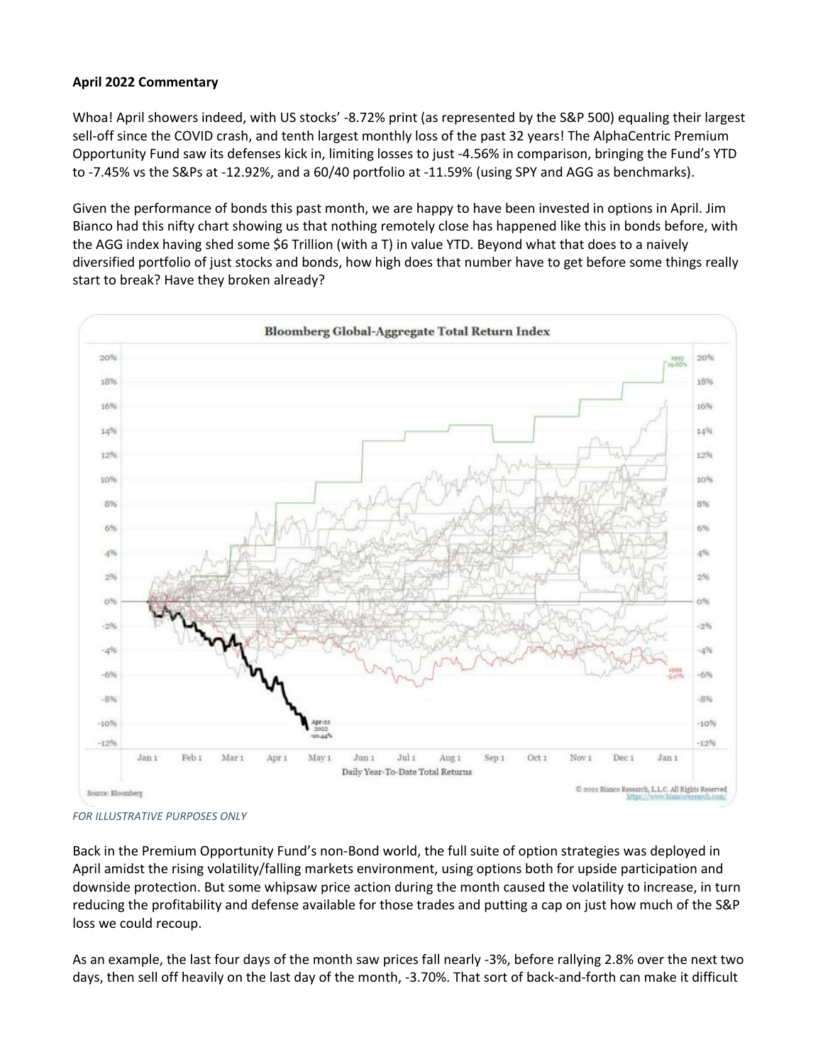## **April 2022 Commentary**

Whoa! April showers indeed, with US stocks' -8.72% print (as represented by the S&P 500) equaling their largest sell-off since the COVID crash, and tenth largest monthly loss of the past 32 years! The AlphaCentric Premium Opportunity Fund saw its defenses kick in, limiting losses to just -4.56% in comparison, bringing the Fund's YTD to -7.45% vs the S&Ps at -12.92%, and a 60/40 portfolio at -11.59% (using SPY and AGG as benchmarks).

Given the performance of bonds this past month, we are happy to have been invested in options in April. Jim Bianco had this nifty chart showing us that nothing remotely close has happened like this in bonds before, with the AGG index having shed some \$6 Trillion (with a T) in value YTD. Beyond what that does to a naively diversified portfolio of just stocks and bonds, how high does that number have to get before some things really start to break? Have they broken already?



*FOR ILLUSTRATIVE PURPOSES ONLY*

Back in the Premium Opportunity Fund's non-Bond world, the full suite of option strategies was deployed in April amidst the rising volatility/falling markets environment, using options both for upside participation and downside protection. But some whipsaw price action during the month caused the volatility to increase, in turn reducing the profitability and defense available for those trades and putting a cap on just how much of the S&P loss we could recoup.

As an example, the last four days of the month saw prices fall nearly -3%, before rallying 2.8% over the next two days, then sell off heavily on the last day of the month, -3.70%. That sort of back-and-forth can make it difficult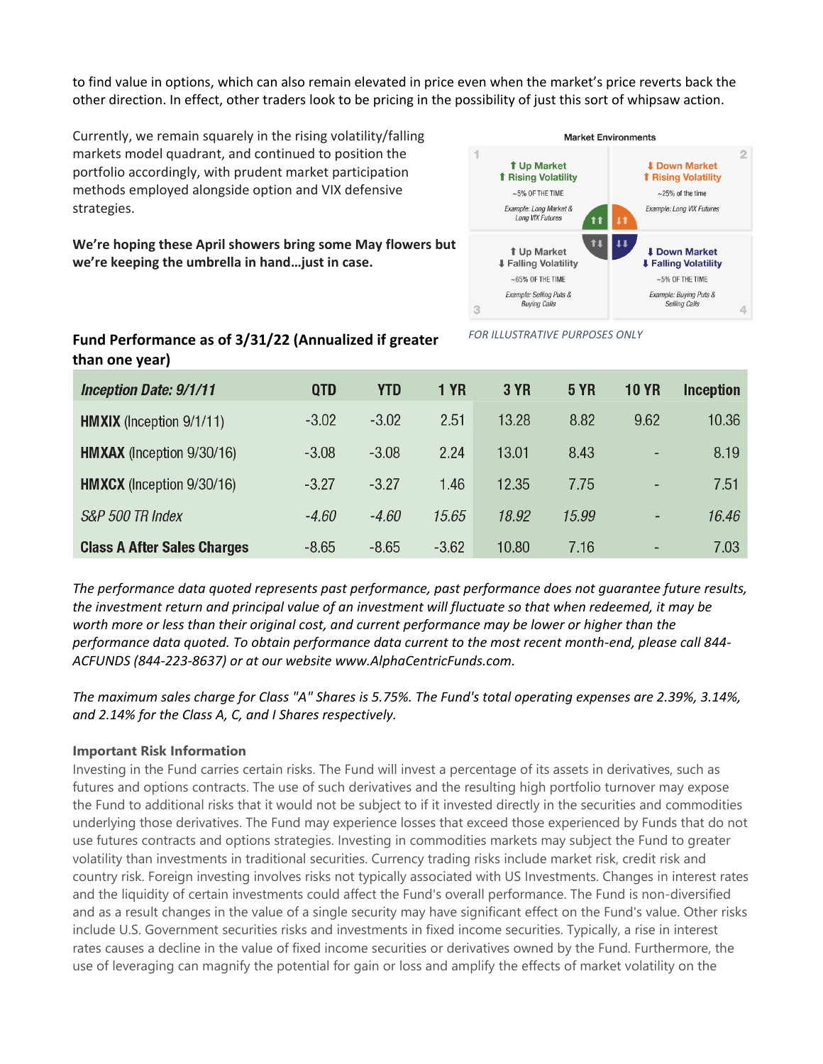to find value in options, which can also remain elevated in price even when the market's price reverts back the other direction. In effect, other traders look to be pricing in the possibility of just this sort of whipsaw action.

Currently, we remain squarely in the rising volatility/falling markets model quadrant, and continued to position the portfolio accordingly, with prudent market participation methods employed alongside option and VIX defensive strategies.

**We're hoping these April showers bring some May flowers but we're keeping the umbrella in hand…just in case.**



*FOR ILLUSTRATIVE PURPOSES ONLY*

## **Fund Performance as of 3/31/22 (Annualized if greater than one year)**

| <b>Inception Date: 9/1/11</b>      | <b>QTD</b> | <b>YTD</b> | <b>1 YR</b> | <b>3 YR</b> | <b>5 YR</b> | <b>10 YR</b>             | <b>Inception</b> |
|------------------------------------|------------|------------|-------------|-------------|-------------|--------------------------|------------------|
| <b>HMXIX</b> (Inception 9/1/11)    | $-3.02$    | $-3.02$    | 2.51        | 13.28       | 8.82        | 9.62                     | 10.36            |
| <b>HMXAX</b> (Inception 9/30/16)   | $-3.08$    | $-3.08$    | 2.24        | 13.01       | 8.43        | $\overline{\phantom{a}}$ | 8.19             |
| <b>HMXCX</b> (Inception 9/30/16)   | $-3.27$    | $-3.27$    | 1.46        | 12.35       | 7.75        | $\qquad \qquad -$        | 7.51             |
| S&P 500 TR Index                   | $-4.60$    | $-4.60$    | 15.65       | 18.92       | 15.99       | ۰                        | 16.46            |
| <b>Class A After Sales Charges</b> | $-8.65$    | $-8.65$    | $-3.62$     | 10.80       | 7.16        | $\blacksquare$           | 7.03             |

*The performance data quoted represents past performance, past performance does not guarantee future results, the investment return and principal value of an investment will fluctuate so that when redeemed, it may be worth more or less than their original cost, and current performance may be lower or higher than the performance data quoted. To obtain performance data current to the most recent month-end, please call 844- ACFUNDS (844-223-8637) or at our website www.AlphaCentricFunds.com.*

*The maximum sales charge for Class "A" Shares is 5.75%. The Fund's total operating expenses are 2.39%, 3.14%, and 2.14% for the Class A, C, and I Shares respectively.*

## **Important Risk Information**

Investing in the Fund carries certain risks. The Fund will invest a percentage of its assets in derivatives, such as futures and options contracts. The use of such derivatives and the resulting high portfolio turnover may expose the Fund to additional risks that it would not be subject to if it invested directly in the securities and commodities underlying those derivatives. The Fund may experience losses that exceed those experienced by Funds that do not use futures contracts and options strategies. Investing in commodities markets may subject the Fund to greater volatility than investments in traditional securities. Currency trading risks include market risk, credit risk and country risk. Foreign investing involves risks not typically associated with US Investments. Changes in interest rates and the liquidity of certain investments could affect the Fund's overall performance. The Fund is non-diversified and as a result changes in the value of a single security may have significant effect on the Fund's value. Other risks include U.S. Government securities risks and investments in fixed income securities. Typically, a rise in interest rates causes a decline in the value of fixed income securities or derivatives owned by the Fund. Furthermore, the use of leveraging can magnify the potential for gain or loss and amplify the effects of market volatility on the